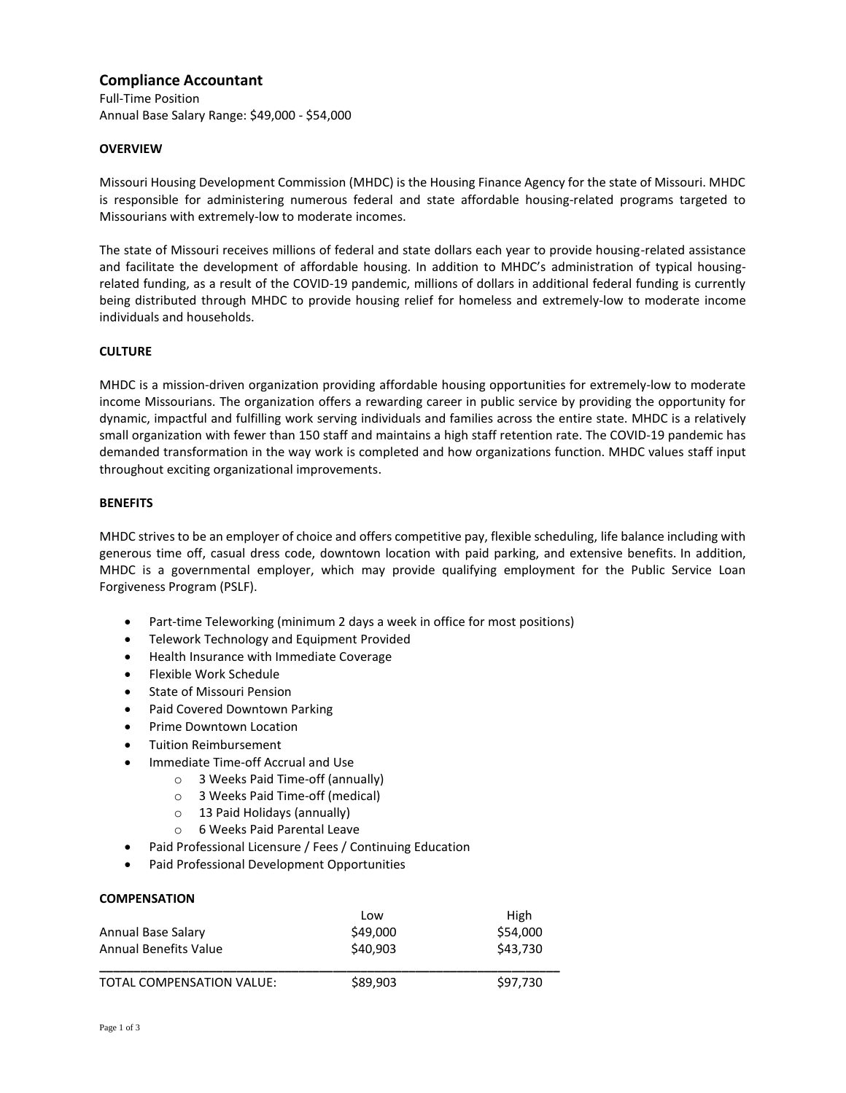# **Compliance Accountant**

Full-Time Position Annual Base Salary Range: \$49,000 - \$54,000

# **OVERVIEW**

Missouri Housing Development Commission (MHDC) is the Housing Finance Agency for the state of Missouri. MHDC is responsible for administering numerous federal and state affordable housing-related programs targeted to Missourians with extremely-low to moderate incomes.

The state of Missouri receives millions of federal and state dollars each year to provide housing-related assistance and facilitate the development of affordable housing. In addition to MHDC's administration of typical housingrelated funding, as a result of the COVID-19 pandemic, millions of dollars in additional federal funding is currently being distributed through MHDC to provide housing relief for homeless and extremely-low to moderate income individuals and households.

# **CULTURE**

MHDC is a mission-driven organization providing affordable housing opportunities for extremely-low to moderate income Missourians. The organization offers a rewarding career in public service by providing the opportunity for dynamic, impactful and fulfilling work serving individuals and families across the entire state. MHDC is a relatively small organization with fewer than 150 staff and maintains a high staff retention rate. The COVID-19 pandemic has demanded transformation in the way work is completed and how organizations function. MHDC values staff input throughout exciting organizational improvements.

# **BENEFITS**

MHDC strives to be an employer of choice and offers competitive pay, flexible scheduling, life balance including with generous time off, casual dress code, downtown location with paid parking, and extensive benefits. In addition, MHDC is a governmental employer, which may provide qualifying employment for the Public Service Loan Forgiveness Program (PSLF).

- Part-time Teleworking (minimum 2 days a week in office for most positions)
- Telework Technology and Equipment Provided
- Health Insurance with Immediate Coverage
- Flexible Work Schedule
- State of Missouri Pension
- Paid Covered Downtown Parking
- Prime Downtown Location
- **•** Tuition Reimbursement
- Immediate Time-off Accrual and Use
	- o 3 Weeks Paid Time-off (annually)
	- o 3 Weeks Paid Time-off (medical)
	- o 13 Paid Holidays (annually)
	- o 6 Weeks Paid Parental Leave
- Paid Professional Licensure / Fees / Continuing Education
- Paid Professional Development Opportunities

#### **COMPENSATION**

|                                  | Low      | High     |
|----------------------------------|----------|----------|
| Annual Base Salary               | \$49,000 | \$54,000 |
| Annual Benefits Value            | \$40,903 | \$43.730 |
| <b>TOTAL COMPENSATION VALUE:</b> | \$89.903 | \$97.730 |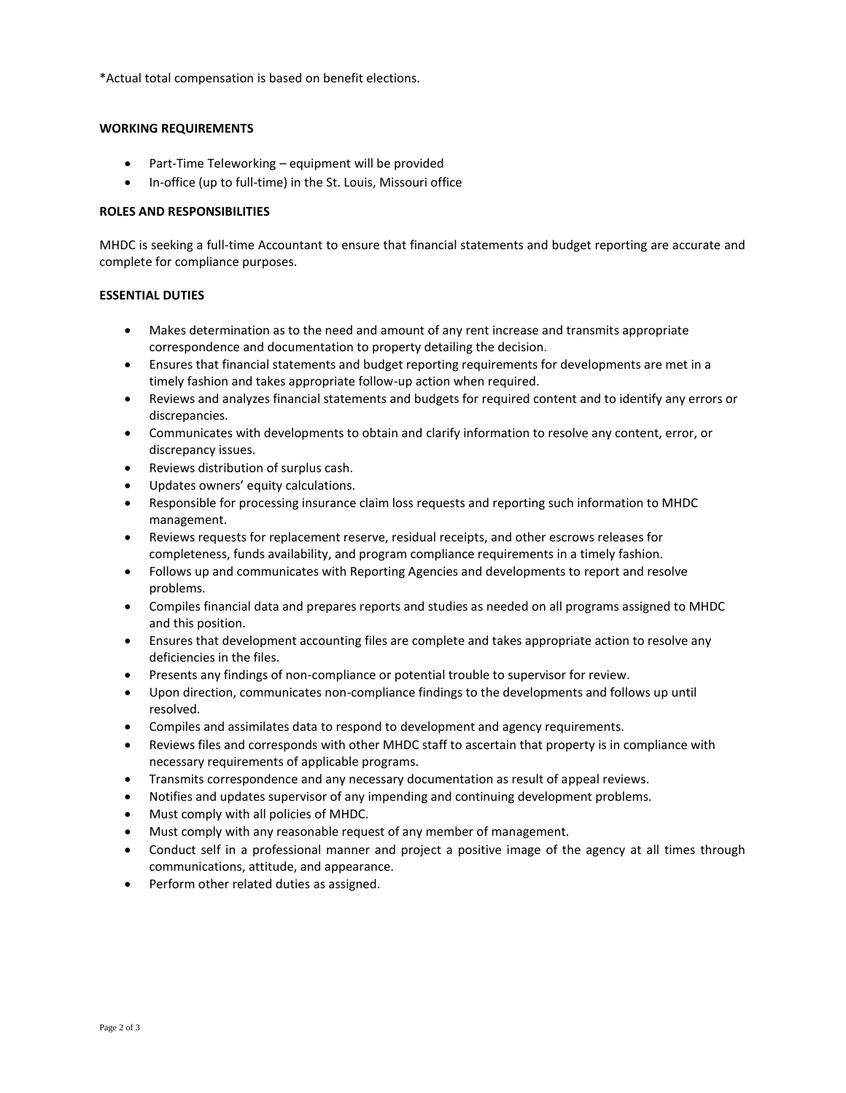\*Actual total compensation is based on benefit elections.

# **WORKING REQUIREMENTS**

- Part-Time Teleworking equipment will be provided
- In-office (up to full-time) in the St. Louis, Missouri office

### **ROLES AND RESPONSIBILITIES**

MHDC is seeking a full-time Accountant to ensure that financial statements and budget reporting are accurate and complete for compliance purposes.

#### **ESSENTIAL DUTIES**

- Makes determination as to the need and amount of any rent increase and transmits appropriate correspondence and documentation to property detailing the decision.
- Ensures that financial statements and budget reporting requirements for developments are met in a timely fashion and takes appropriate follow-up action when required.
- Reviews and analyzes financial statements and budgets for required content and to identify any errors or discrepancies.
- Communicates with developments to obtain and clarify information to resolve any content, error, or discrepancy issues.
- Reviews distribution of surplus cash.
- Updates owners' equity calculations.
- Responsible for processing insurance claim loss requests and reporting such information to MHDC management.
- Reviews requests for replacement reserve, residual receipts, and other escrows releases for completeness, funds availability, and program compliance requirements in a timely fashion.
- Follows up and communicates with Reporting Agencies and developments to report and resolve problems.
- Compiles financial data and prepares reports and studies as needed on all programs assigned to MHDC and this position.
- Ensures that development accounting files are complete and takes appropriate action to resolve any deficiencies in the files.
- Presents any findings of non-compliance or potential trouble to supervisor for review.
- Upon direction, communicates non-compliance findings to the developments and follows up until resolved.
- Compiles and assimilates data to respond to development and agency requirements.
- Reviews files and corresponds with other MHDC staff to ascertain that property is in compliance with necessary requirements of applicable programs.
- Transmits correspondence and any necessary documentation as result of appeal reviews.
- Notifies and updates supervisor of any impending and continuing development problems.
- Must comply with all policies of MHDC.
- Must comply with any reasonable request of any member of management.
- Conduct self in a professional manner and project a positive image of the agency at all times through communications, attitude, and appearance.
- Perform other related duties as assigned.